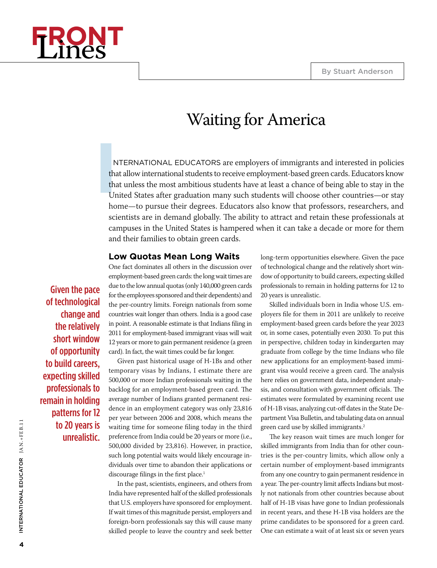

# Waiting for America

**I** NTERNATIONAL EDUCATORS are employers of immigrants and interested in policies that allow international students to receive employment-based green cards. Educators know that unless the most ambitious students have at least a chance of being able to stay in the United States after graduation many such students will choose other countries—or stay home—to pursue their degrees. Educators also know that professors, researchers, and scientists are in demand globally. The ability to attract and retain these professionals at campuses in the United States is hampered when it can take a decade or more for them and their families to obtain green cards.

#### **Low Quotas Mean Long Waits**

One fact dominates all others in the discussion over employment-based green cards: the long wait times are due to the low annual quotas (only 140,000 green cards for the employees sponsored and their dependents) and the per-country limits. Foreign nationals from some countries wait longer than others. India is a good case in point. A reasonable estimate is that Indians filing in 2011 for employment-based immigrant visas will wait 12 years or more to gain permanent residence (a green card). In fact, the wait times could be far longer.

Given past historical usage of H-1Bs and other temporary visas by Indians, I estimate there are 500,000 or more Indian professionals waiting in the backlog for an employment-based green card. The average number of Indians granted permanent residence in an employment category was only 23,816 per year between 2006 and 2008, which means the waiting time for someone filing today in the third preference from India could be 20 years or more (i.e., 500,000 divided by 23,816). However, in practice, such long potential waits would likely encourage individuals over time to abandon their applications or discourage filings in the first place.<sup>1</sup>

In the past, scientists, engineers, and others from India have represented half of the skilled professionals that U.S. employers have sponsored for employment. If wait times of this magnitude persist, employers and foreign-born professionals say this will cause many skilled people to leave the country and seek better long-term opportunities elsewhere. Given the pace of technological change and the relatively short window of opportunity to build careers, expecting skilled professionals to remain in holding patterns for 12 to 20 years is unrealistic.

Skilled individuals born in India whose U.S. employers file for them in 2011 are unlikely to receive employment-based green cards before the year 2023 or, in some cases, potentially even 2030. To put this in perspective, children today in kindergarten may graduate from college by the time Indians who file new applications for an employment-based immigrant visa would receive a green card. The analysis here relies on government data, independent analysis, and consultation with government officials. The estimates were formulated by examining recent use of H-1B visas, analyzing cut-off dates in the State Department Visa Bulletin, and tabulating data on annual green card use by skilled immigrants.2

The key reason wait times are much longer for skilled immigrants from India than for other countries is the per-country limits, which allow only a certain number of employment-based immigrants from any one country to gain permanent residence in a year. The per-country limit affects Indians but mostly not nationals from other countries because about half of H-1B visas have gone to Indian professionals in recent years, and these H-1B visa holders are the prime candidates to be sponsored for a green card. Skined infingrants from mula than for other coun-<br>tries is the per-country limits, which allow only a<br>certain number of employment-based immigrants<br>from any one country to gain permanent residence in<br>a year. The per-countr

Given the pace of technological change and the relatively short window of opportunity to build careers, expecting skilled professionals to remain in holding patterns for 12 to 20 years is unrealistic.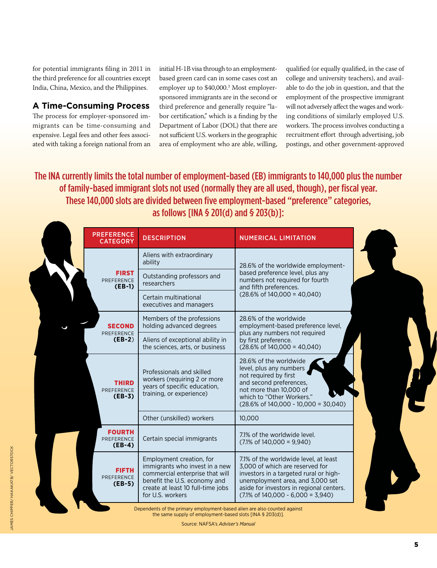for potential immigrants filing in 2011 in the third preference for all countries except India, China, Mexico, and the Philippines.

### **A Time-Consuming Process**

The process for employer-sponsored immigrants can be time-consuming and expensive. Legal fees and other fees associated with taking a foreign national from an initial H-1B visa through to an employmentbased green card can in some cases cost an employer up to \$40,000.3 Most employersponsored immigrants are in the second or third preference and generally require "labor certification," which is a finding by the Department of Labor (DOL) that there are not sufficient U.S. workers in the geographic area of employment who are able, willing,

qualified (or equally qualified, in the case of college and university teachers), and available to do the job in question, and that the employment of the prospective immigrant will not adversely affect the wages and working conditions of similarly employed U.S. workers. The process involves conducting a recruitment effort through advertising, job postings, and other government-approved

The INA currently limits the total number of employment-based (EB) immigrants to 140,000 plus the number of family-based immigrant slots not used (normally they are all used, though), per fiscal year. These 140,000 slots are divided between five employment-based "preference" categories, as follows [INA § 201(d) and § 203(b)]:

| <b>PREFERENCE</b><br><b>CATEGORY</b>    | <b>DESCRIPTION</b>                                                                                                                                                                     | <b>NUMERICAL LIMITATION</b>                                                                                                                                                                                                                         |  |
|-----------------------------------------|----------------------------------------------------------------------------------------------------------------------------------------------------------------------------------------|-----------------------------------------------------------------------------------------------------------------------------------------------------------------------------------------------------------------------------------------------------|--|
| <b>FIRST</b><br>PREFERENCE<br>$(EB-1)$  | Aliens with extraordinary<br>ability                                                                                                                                                   | 28.6% of the worldwide employment-<br>based preference level, plus any<br>numbers not required for fourth<br>and fifth preferences.<br>$(28.6\% \text{ of } 140,000 = 40,040)$                                                                      |  |
|                                         | Outstanding professors and<br>researchers                                                                                                                                              |                                                                                                                                                                                                                                                     |  |
|                                         | Certain multinational<br>executives and managers                                                                                                                                       |                                                                                                                                                                                                                                                     |  |
| <b>SECOND</b>                           | Members of the professions<br>holding advanced degrees                                                                                                                                 | 28.6% of the worldwide<br>employment-based preference level,<br>plus any numbers not required<br>by first preference.<br>$(28.6\% \text{ of } 140,000 = 40,040)$                                                                                    |  |
| PREFERENCE<br>$(EB-2)$                  | Aliens of exceptional ability in<br>the sciences, arts, or business                                                                                                                    |                                                                                                                                                                                                                                                     |  |
| <b>THIRD</b><br>PREFERENCE<br>$(EB-3)$  | Professionals and skilled<br>workers (requiring 2 or more<br>years of specific education,<br>training, or experience)                                                                  | 28.6% of the worldwide<br>level, plus any numbers<br>not required by first<br>and second preferences,<br>not more than 10,000 of<br>which to "Other Workers."<br>$(28.6\% \text{ of } 140,000 - 10,000 = 30,040)$                                   |  |
|                                         | Other (unskilled) workers                                                                                                                                                              | 10,000                                                                                                                                                                                                                                              |  |
| <b>FOURTH</b><br>PREFERENCE<br>$(EB-4)$ | Certain special immigrants                                                                                                                                                             | 7.1% of the worldwide level.<br>$(7.1\% \text{ of } 140,000 = 9,940)$                                                                                                                                                                               |  |
| <b>FIFTH</b><br>PREFERENCE<br>$(EB-5)$  | Employment creation, for<br>immigrants who invest in a new<br>commercial enterprise that will<br>benefit the U.S. economy and<br>create at least 10 full-time jobs<br>for U.S. workers | 7.1% of the worldwide level, at least<br>3,000 of which are reserved for<br>investors in a targeted rural or high-<br>unemployment area, and 3,000 set<br>aside for investors in regional centers.<br>$(7.1\% \text{ of } 140,000 - 6,000 = 3,940)$ |  |

the same supply of employment-based slots [INA § 203(d)].

Source: NAFSA's *Adviser's Manual*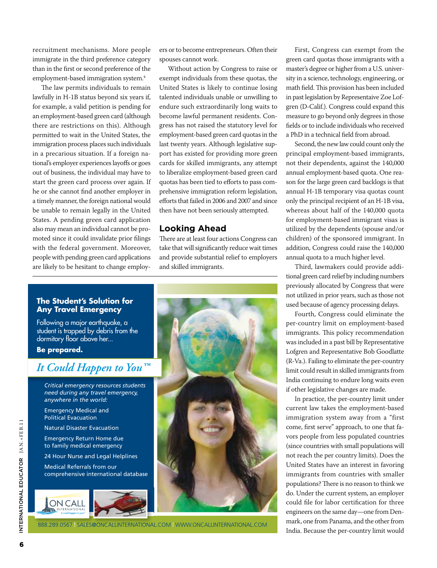recruitment mechanisms. More people immigrate in the third preference category than in the first or second preference of the employment-based immigration system.4

The law permits individuals to remain lawfully in H-1B status beyond six years if, for example, a valid petition is pending for an employment-based green card (although there are restrictions on this). Although permitted to wait in the United States, the immigration process places such individuals in a precarious situation. If a foreign national's employer experiences layoffs or goes out of business, the individual may have to start the green card process over again. If he or she cannot find another employer in a timely manner, the foreign national would be unable to remain legally in the United States. A pending green card application also may mean an individual cannot be promoted since it could invalidate prior filings with the federal government. Moreover, people with pending green card applications are likely to be hesitant to change employers or to become entrepreneurs. Often their spouses cannot work.

Without action by Congress to raise or exempt individuals from these quotas, the United States is likely to continue losing talented individuals unable or unwilling to endure such extraordinarily long waits to become lawful permanent residents. Congress has not raised the statutory level for employment-based green card quotas in the last twenty years. Although legislative support has existed for providing more green cards for skilled immigrants, any attempt to liberalize employment-based green card quotas has been tied to efforts to pass comprehensive immigration reform legislation, efforts that failed in 2006 and 2007 and since then have not been seriously attempted.

#### **Looking Ahead**

There are at least four actions Congress can take that will significantly reduce wait times and provide substantial relief to employers and skilled immigrants.



888.289.0567 | SALES@ONCALLINTERNATIONAL.COM | WWW.ONCALLINTERNATIONAL.COM

First, Congress can exempt from the green card quotas those immigrants with a master's degree or higher from a U.S. university in a science, technology, engineering, or math field. This provision has been included in past legislation by Representaive Zoe Lofgren (D-Calif.). Congress could expand this measure to go beyond only degrees in those fields or to include individuals who received a PhD in a technical field from abroad.

Second, the new law could count only the principal employment-based immigrants, not their dependents, against the 140,000 annual employment-based quota. One reason for the large green card backlogs is that annual H-1B temporary visa quotas count only the principal recipient of an H-1B visa, whereas about half of the 140,000 quota for employment-based immigrant visas is utilized by the dependents (spouse and/or children) of the sponsored immigrant. In addition, Congress could raise the 140,000 annual quota to a much higher level.

Third, lawmakers could provide additional green card relief by including numbers previously allocated by Congress that were not utilized in prior years, such as those not used because of agency processing delays.

Fourth, Congress could eliminate the per-country limit on employment-based immigrants. This policy recommendation was included in a past bill by Representative Lofgren and Representative Bob Goodlatte (R-Va.). Failing to eliminate the per-country limit could result in skilled immigrants from India continuing to endure long waits even if other legislative changes are made.

In practice, the per-country limit under current law takes the employment-based immigration system away from a "first come, first serve" approach, to one that favors people from less populated countries (since countries with small populations will not reach the per country limits). Does the United States have an interest in favoring immigrants from countries with smaller populations? There is no reason to think we do. Under the current system, an employer could file for labor certification for three engineers on the same day—one from Denmark, one from Panama, and the other from India. Because the per-country limit would